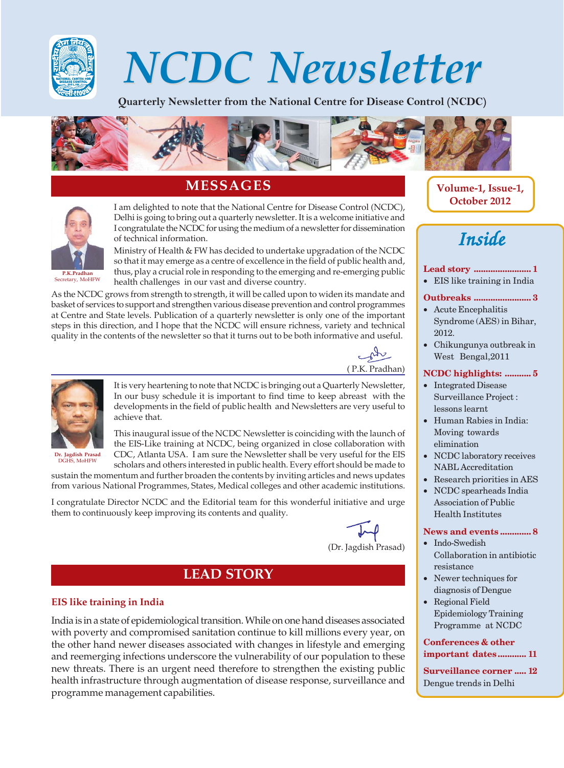

# NCDC Newsletter NCDC Newsletter

Quarterly Newsletter from the National Centre for Disease Control (NCDC)



## **MESSAGES**



I am delighted to note that the National Centre for Disease Control (NCDC), Delhi is going to bring out a quarterly newsletter. It is a welcome initiative and I congratulate the NCDC for using the medium of a newsletter for dissemination of technical information.

Ministry of Health & FW has decided to undertake upgradation of the NCDC so that it may emerge as a centre of excellence in the field of public health and, thus, play a crucial role in responding to the emerging and re-emerging public health challenges in our vast and diverse country.

As the NCDC grows from strength to strength, it will be called upon to widen its mandate and basket of services to support and strengthen various disease prevention and control programmes at Centre and State levels. Publication of a quarterly newsletter is only one of the important steps in this direction, and I hope that the NCDC will ensure richness, variety and technical quality in the contents of the newsletter so that it turns out to be both informative and useful.





It is very heartening to note that NCDC is bringing out a Quarterly Newsletter, In our busy schedule it is important to find time to keep abreast with the developments in the field of public health and Newsletters are very useful to achieve that.

This inaugural issue of the NCDC Newsletter is coinciding with the launch of the EIS-Like training at NCDC, being organized in close collaboration with CDC, Atlanta USA. I am sure the Newsletter shall be very useful for the EIS scholars and others interested in public health. Every effort should be made to

sustain the momentum and further broaden the contents by inviting articles and news updates from various National Programmes, States, Medical colleges and other academic institutions.

I congratulate Director NCDC and the Editorial team for this wonderful initiative and urge them to continuously keep improving its contents and quality.



(Dr. Jagdish Prasad)

## **LEAD STORY**

#### **EIS like training in India**

India is in a state of epidemiological transition. While on one hand diseases associated with poverty and compromised sanitation continue to kill millions every year, on the other hand newer diseases associated with changes in lifestyle and emerging and reemerging infections underscore the vulnerability of our population to these new threats. There is an urgent need therefore to strengthen the existing public health infrastructure through augmentation of disease response, surveillance and programme management capabilities.

**Volume-1, Issue-1, October 2012**

## *Inside*

#### **Lead story ........................ 1**

• EIS like training in India

#### **Outbreaks ........................ 3**

- Acute Encephalitis Syndrome (AES) in Bihar, 2012.
- Chikungunya outbreak in West Bengal,2011

#### **NCDC highlights: ........... 5**

- Integrated Disease Surveillance Project : lessons learnt
- Human Rabies in India: Moving towards elimination
- NCDC laboratory receives NABL Accreditation
- Research priorities in AES
- NCDC spearheads India

Association of Public Health Institutes

#### **News and events ............. 8**

- Indo-Swedish Collaboration in antibiotic resistance
- Newer techniques for diagnosis of Dengue
- Regional Field Epidemiology Training Programme at NCDC

#### **Conferences & other important dates............ 11**

**Surveillance corner ..... 12** Dengue trends in Delhi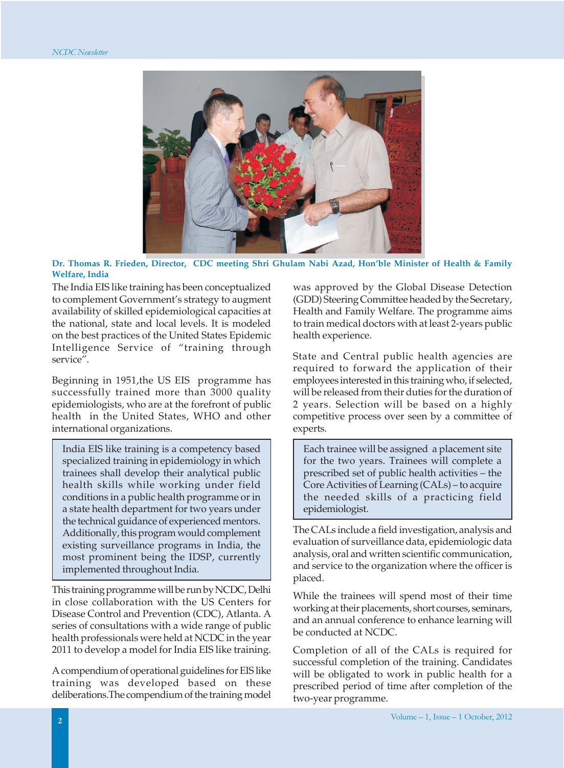

**Dr. Thomas R. Frieden, Director, CDC meeting Shri Ghulam Nabi Azad, Hon'ble Minister of Health & Family Welfare, India**

The India EIS like training has been conceptualized to complement Government's strategy to augment availability of skilled epidemiological capacities at the national, state and local levels. It is modeled on the best practices of the United States Epidemic Intelligence Service of "training through service".

Beginning in 1951,the US EIS programme has successfully trained more than 3000 quality epidemiologists, who are at the forefront of public health in the United States, WHO and other international organizations.

India EIS like training is a competency based specialized training in epidemiology in which trainees shall develop their analytical public health skills while working under field conditions in a public health programme or in a state health department for two years under the technical guidance of experienced mentors. Additionally, this program would complement existing surveillance programs in India, the most prominent being the IDSP, currently implemented throughout India.

This training programme will be run by NCDC, Delhi in close collaboration with the US Centers for Disease Control and Prevention (CDC), Atlanta. A series of consultations with a wide range of public health professionals were held at NCDC in the year 2011 to develop a model for India EIS like training.

A compendium of operational guidelines for EIS like training was developed based on these deliberations.The compendium of the training model was approved by the Global Disease Detection (GDD) Steering Committee headed by the Secretary, Health and Family Welfare. The programme aims to train medical doctors with at least 2-years public health experience.

State and Central public health agencies are required to forward the application of their employees interested in this training who, if selected, will be released from their duties for the duration of 2 years. Selection will be based on a highly competitive process over seen by a committee of experts.

Each trainee will be assigned a placement site for the two years. Trainees will complete a prescribed set of public health activities – the Core Activities of Learning (CALs) – to acquire the needed skills of a practicing field epidemiologist.

The CALs include a field investigation, analysis and evaluation of surveillance data, epidemiologic data analysis, oral and written scientific communication, and service to the organization where the officer is placed.

While the trainees will spend most of their time working at their placements, short courses, seminars, and an annual conference to enhance learning will be conducted at NCDC.

Completion of all of the CALs is required for successful completion of the training. Candidates will be obligated to work in public health for a prescribed period of time after completion of the two-year programme.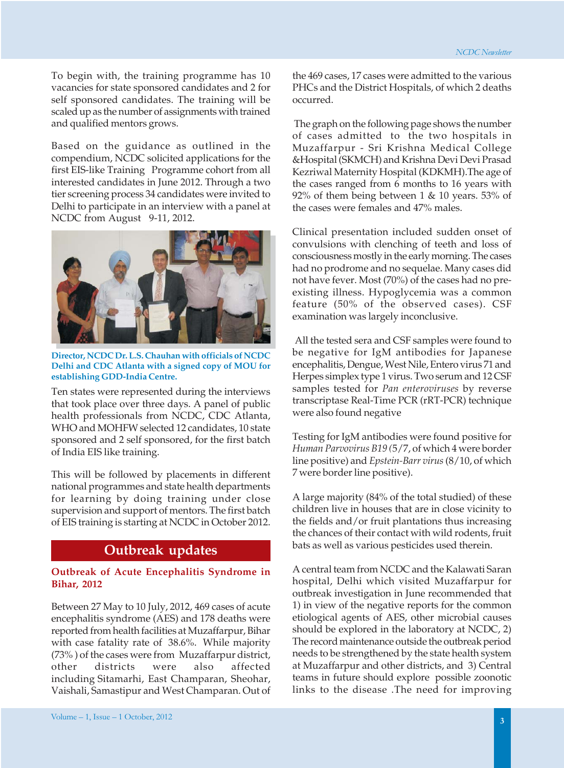To begin with, the training programme has 10 vacancies for state sponsored candidates and 2 for self sponsored candidates. The training will be scaled up as the number of assignments with trained and qualified mentors grows.

Based on the guidance as outlined in the compendium, NCDC solicited applications for the first EIS-like Training Programme cohort from all interested candidates in June 2012. Through a two tier screening process 34 candidates were invited to Delhi to participate in an interview with a panel at NCDC from August 9-11, 2012.



**Director, NCDC Dr. L.S. Chauhan with officials of NCDC Delhi and CDC Atlanta with a signed copy of MOU for establishing GDD-India Centre.**

Ten states were represented during the interviews that took place over three days. A panel of public health professionals from NCDC, CDC Atlanta, WHO and MOHFW selected 12 candidates, 10 state sponsored and 2 self sponsored, for the first batch of India EIS like training.

This will be followed by placements in different national programmes and state health departments for learning by doing training under close supervision and support of mentors. The first batch of EIS training is starting at NCDC in October 2012.

## **Outbreak updates**

#### **Outbreak of Acute Encephalitis Syndrome in Bihar, 2012**

Between 27 May to 10 July, 2012, 469 cases of acute encephalitis syndrome (AES) and 178 deaths were reported from health facilities at Muzaffarpur, Bihar with case fatality rate of 38.6%. While majority (73% ) of the cases were from Muzaffarpur district, other districts were also affected including Sitamarhi, East Champaran, Sheohar, Vaishali, Samastipur and West Champaran. Out of the 469 cases, 17 cases were admitted to the various PHCs and the District Hospitals, of which 2 deaths occurred.

 The graph on the following page shows the number of cases admitted to the two hospitals in Muzaffarpur - Sri Krishna Medical College &Hospital (SKMCH) and Krishna Devi Devi Prasad Kezriwal Maternity Hospital (KDKMH).The age of the cases ranged from 6 months to 16 years with 92% of them being between  $1 \& 10$  years. 53% of the cases were females and 47% males.

Clinical presentation included sudden onset of convulsions with clenching of teeth and loss of consciousness mostly in the early morning. The cases had no prodrome and no sequelae. Many cases did not have fever. Most (70%) of the cases had no preexisting illness. Hypoglycemia was a common feature (50% of the observed cases). CSF examination was largely inconclusive.

 All the tested sera and CSF samples were found to be negative for IgM antibodies for Japanese encephalitis, Dengue, West Nile, Entero virus 71 and Herpes simplex type 1 virus. Two serum and 12 CSF samples tested for *Pan enteroviruses* by reverse transcriptase Real-Time PCR (rRT-PCR) technique were also found negative

Testing for IgM antibodies were found positive for *Human Parvovirus B19 (*5/7, of which 4 were border line positive) and *Epstein-Barr virus* (8/10, of which 7 were border line positive).

A large majority (84% of the total studied) of these children live in houses that are in close vicinity to the fields and/or fruit plantations thus increasing the chances of their contact with wild rodents, fruit bats as well as various pesticides used therein.

A central team from NCDC and the Kalawati Saran hospital, Delhi which visited Muzaffarpur for outbreak investigation in June recommended that 1) in view of the negative reports for the common etiological agents of AES, other microbial causes should be explored in the laboratory at NCDC, 2) The record maintenance outside the outbreak period needs to be strengthened by the state health system at Muzaffarpur and other districts, and 3) Central teams in future should explore possible zoonotic links to the disease .The need for improving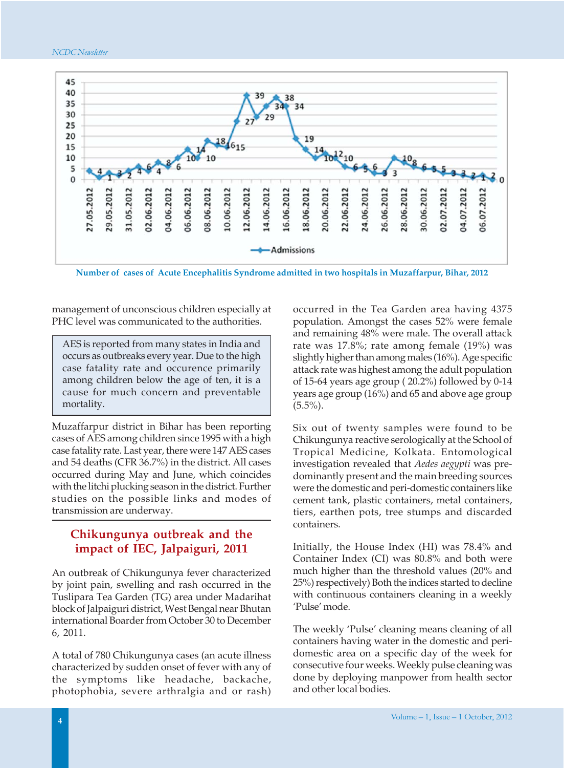



**Number of cases of Acute Encephalitis Syndrome admitted in two hospitals in Muzaffarpur, Bihar, 2012**

management of unconscious children especially at PHC level was communicated to the authorities.

AES is reported from many states in India and occurs as outbreaks every year. Due to the high case fatality rate and occurence primarily among children below the age of ten, it is a cause for much concern and preventable mortality.

Muzaffarpur district in Bihar has been reporting cases of AES among children since 1995 with a high case fatality rate. Last year, there were 147 AES cases and 54 deaths (CFR 36.7%) in the district. All cases occurred during May and June, which coincides with the litchi plucking season in the district. Further studies on the possible links and modes of transmission are underway.

#### **Chikungunya outbreak and the impact of IEC, Jalpaiguri, 2011**

An outbreak of Chikungunya fever characterized by joint pain, swelling and rash occurred in the Tuslipara Tea Garden (TG) area under Madarihat block of Jalpaiguri district, West Bengal near Bhutan international Boarder from October 30 to December 6, 2011.

A total of 780 Chikungunya cases (an acute illness characterized by sudden onset of fever with any of the symptoms like headache, backache, photophobia, severe arthralgia and or rash) occurred in the Tea Garden area having 4375 population. Amongst the cases 52% were female and remaining 48% were male. The overall attack rate was 17.8%; rate among female (19%) was slightly higher than among males (16%). Age specific attack rate was highest among the adult population of 15-64 years age group ( 20.2%) followed by 0-14 years age group (16%) and 65 and above age group  $(5.5\%)$ .

Six out of twenty samples were found to be Chikungunya reactive serologically at the School of Tropical Medicine, Kolkata. Entomological investigation revealed that *Aedes aegypti* was predominantly present and the main breeding sources were the domestic and peri-domestic containers like cement tank, plastic containers, metal containers, tiers, earthen pots, tree stumps and discarded containers.

Initially, the House Index (HI) was 78.4% and Container Index (CI) was 80.8% and both were much higher than the threshold values (20% and 25%) respectively) Both the indices started to decline with continuous containers cleaning in a weekly 'Pulse' mode.

The weekly 'Pulse' cleaning means cleaning of all containers having water in the domestic and peridomestic area on a specific day of the week for consecutive four weeks. Weekly pulse cleaning was done by deploying manpower from health sector and other local bodies.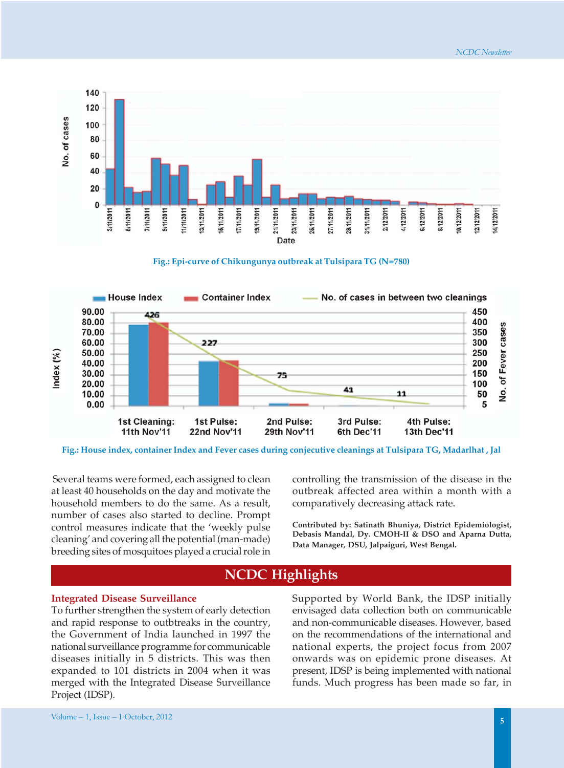





**Fig.: House index, container Index and Fever cases during conjecutive cleanings at Tulsipara TG, Madarlhat , Jal**

Several teams were formed, each assigned to clean at least 40 households on the day and motivate the household members to do the same. As a result, number of cases also started to decline. Prompt control measures indicate that the 'weekly pulse cleaning' and covering all the potential (man-made) breeding sites of mosquitoes played a crucial role in controlling the transmission of the disease in the outbreak affected area within a month with a comparatively decreasing attack rate.

**Contributed by: Satinath Bhuniya, District Epidemiologist, Debasis Mandal, Dy. CMOH-II & DSO and Aparna Dutta, Data Manager, DSU, Jalpaiguri, West Bengal.**

## **NCDC Highlights**

#### **Integrated Disease Surveillance**

To further strengthen the system of early detection and rapid response to outbtreaks in the country, the Government of India launched in 1997 the national surveillance programme for communicable diseases initially in 5 districts. This was then expanded to 101 districts in 2004 when it was merged with the Integrated Disease Surveillance Project (IDSP).

Supported by World Bank, the IDSP initially envisaged data collection both on communicable and non-communicable diseases. However, based on the recommendations of the international and national experts, the project focus from 2007 onwards was on epidemic prone diseases. At present, IDSP is being implemented with national funds. Much progress has been made so far, in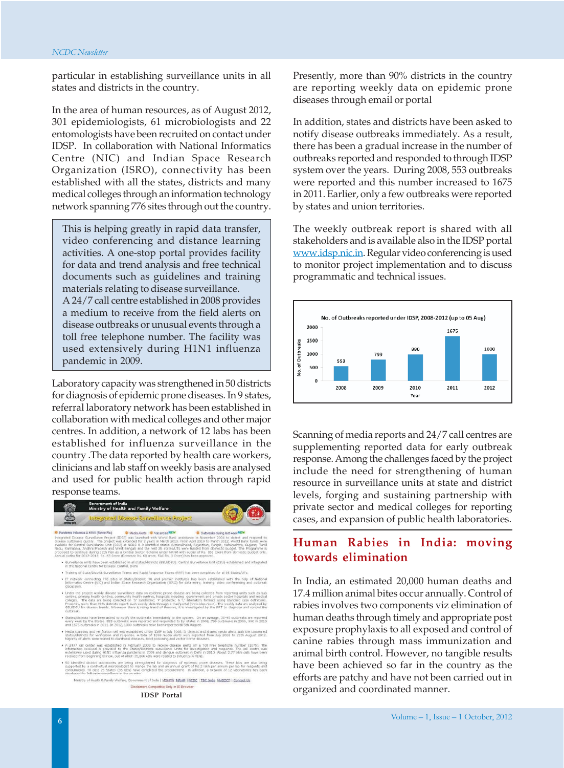particular in establishing surveillance units in all states and districts in the country.

In the area of human resources, as of August 2012, 301 epidemiologists, 61 microbiologists and 22 entomologists have been recruited on contact under IDSP. In collaboration with National Informatics Centre (NIC) and Indian Space Research Organization (ISRO), connectivity has been established with all the states, districts and many medical colleges through an information technology network spanning 776 sites through out the country.

This is helping greatly in rapid data transfer, video conferencing and distance learning activities. A one-stop portal provides facility for data and trend analysis and free technical documents such as guidelines and training materials relating to disease surveillance.

A 24/7 call centre established in 2008 provides a medium to receive from the field alerts on disease outbreaks or unusual events through a toll free telephone number. The facility was used extensively during H1N1 influenza pandemic in 2009.

Laboratory capacity was strengthened in 50 districts for diagnosis of epidemic prone diseases. In 9 states, referral laboratory network has been established in collaboration with medical colleges and other major centres. In addition, a network of 12 labs has been established for influenza surveillance in the country .The data reported by health care workers, clinicians and lab staff on weekly basis are analysed and used for public health action through rapid response teams.



**IDSP Portal**

Presently, more than 90% districts in the country are reporting weekly data on epidemic prone diseases through email or portal

In addition, states and districts have been asked to notify disease outbreaks immediately. As a result, there has been a gradual increase in the number of outbreaks reported and responded to through IDSP system over the years. During 2008, 553 outbreaks were reported and this number increased to 1675 in 2011. Earlier, only a few outbreaks were reported by states and union territories.

The weekly outbreak report is shared with all stakeholders and is available also in the IDSP portal www.idsp.nic.in. Regular video conferencing is used to monitor project implementation and to discuss programmatic and technical issues.



Scanning of media reports and 24/7 call centres are supplementing reported data for early outbreak response. Among the challenges faced by the project include the need for strengthening of human resource in surveillance units at state and district levels, forging and sustaining partnership with private sector and medical colleges for reporting cases, and expansion of public health laboratories.

#### **Human Rabies in India: moving towards elimination**

In India, an estimated 20,000 human deaths and 17.4 million animal bites occur annually. Control of rabies involves two components viz elimination of human deaths through timely and appropriate post exposure prophylaxis to all exposed and control of canine rabies through mass immunization and animal birth control. However, no tangible results have been achieved so far in the country as the efforts are patchy and have not been carried out in organized and coordinated manner.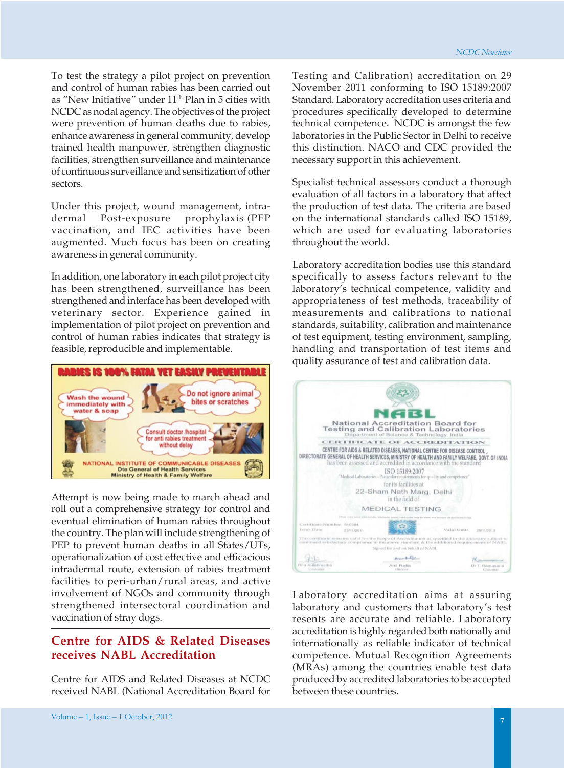To test the strategy a pilot project on prevention and control of human rabies has been carried out as "New Initiative" under  $11<sup>th</sup>$  Plan in 5 cities with NCDC as nodal agency. The objectives of the project were prevention of human deaths due to rabies, enhance awareness in general community, develop trained health manpower, strengthen diagnostic facilities, strengthen surveillance and maintenance of continuous surveillance and sensitization of other sectors.

Under this project, wound management, intradermal Post-exposure prophylaxis (PEP vaccination, and IEC activities have been augmented. Much focus has been on creating awareness in general community.

In addition, one laboratory in each pilot project city has been strengthened, surveillance has been strengthened and interface has been developed with veterinary sector. Experience gained in implementation of pilot project on prevention and control of human rabies indicates that strategy is feasible, reproducible and implementable.



Attempt is now being made to march ahead and roll out a comprehensive strategy for control and eventual elimination of human rabies throughout the country. The plan will include strengthening of PEP to prevent human deaths in all States/UTs, operationalization of cost effective and efficacious intradermal route, extension of rabies treatment facilities to peri-urban/rural areas, and active involvement of NGOs and community through strengthened intersectoral coordination and vaccination of stray dogs.

## **Centre for AIDS & Related Diseases receives NABL Accreditation**

Centre for AIDS and Related Diseases at NCDC received NABL (National Accreditation Board for Testing and Calibration) accreditation on 29 November 2011 conforming to ISO 15189:2007 Standard. Laboratory accreditation uses criteria and procedures specifically developed to determine technical competence. NCDC is amongst the few laboratories in the Public Sector in Delhi to receive this distinction. NACO and CDC provided the necessary support in this achievement.

Specialist technical assessors conduct a thorough evaluation of all factors in a laboratory that affect the production of test data. The criteria are based on the international standards called ISO 15189, which are used for evaluating laboratories throughout the world.

Laboratory accreditation bodies use this standard specifically to assess factors relevant to the laboratory's technical competence, validity and appropriateness of test methods, traceability of measurements and calibrations to national standards, suitability, calibration and maintenance of test equipment, testing environment, sampling, handling and transportation of test items and quality assurance of test and calibration data.



Laboratory accreditation aims at assuring laboratory and customers that laboratory's test resents are accurate and reliable. Laboratory accreditation is highly regarded both nationally and internationally as reliable indicator of technical competence. Mutual Recognition Agreements (MRAs) among the countries enable test data produced by accredited laboratories to be accepted between these countries.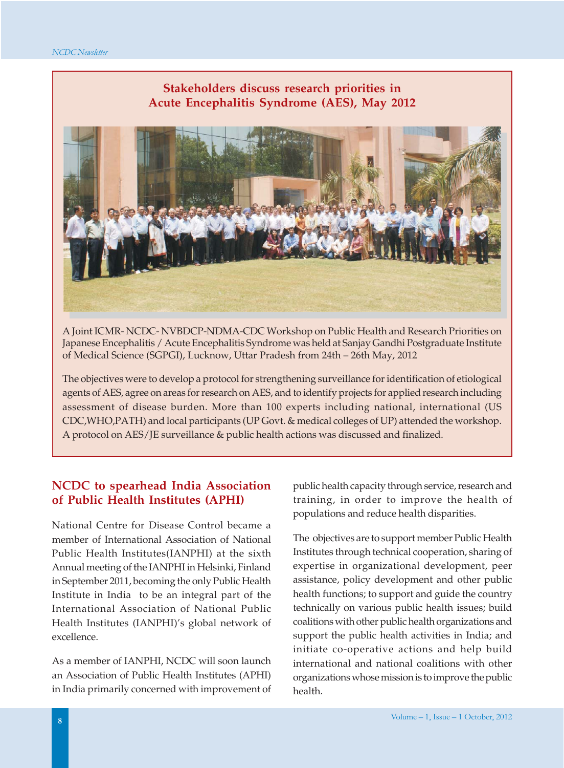## **Stakeholders discuss research priorities in Acute Encephalitis Syndrome (AES), May 2012**



A Joint ICMR- NCDC- NVBDCP-NDMA-CDC Workshop on Public Health and Research Priorities on Japanese Encephalitis / Acute Encephalitis Syndrome was held at Sanjay Gandhi Postgraduate Institute of Medical Science (SGPGI), Lucknow, Uttar Pradesh from 24th – 26th May, 2012

The objectives were to develop a protocol for strengthening surveillance for identification of etiological agents of AES, agree on areas for research on AES, and to identify projects for applied research including assessment of disease burden. More than 100 experts including national, international (US CDC,WHO,PATH) and local participants (UP Govt. & medical colleges of UP) attended the workshop. A protocol on AES/JE surveillance & public health actions was discussed and finalized.

#### **NCDC to spearhead India Association of Public Health Institutes (APHI)**

National Centre for Disease Control became a member of International Association of National Public Health Institutes(IANPHI) at the sixth Annual meeting of the IANPHI in Helsinki, Finland in September 2011, becoming the only Public Health Institute in India to be an integral part of the International Association of National Public Health Institutes (IANPHI)'s global network of excellence.

As a member of IANPHI, NCDC will soon launch an Association of Public Health Institutes (APHI) in India primarily concerned with improvement of public health capacity through service, research and training, in order to improve the health of populations and reduce health disparities.

The objectives are to support member Public Health Institutes through technical cooperation, sharing of expertise in organizational development, peer assistance, policy development and other public health functions; to support and guide the country technically on various public health issues; build coalitions with other public health organizations and support the public health activities in India; and initiate co-operative actions and help build international and national coalitions with other organizations whose mission is to improve the public health.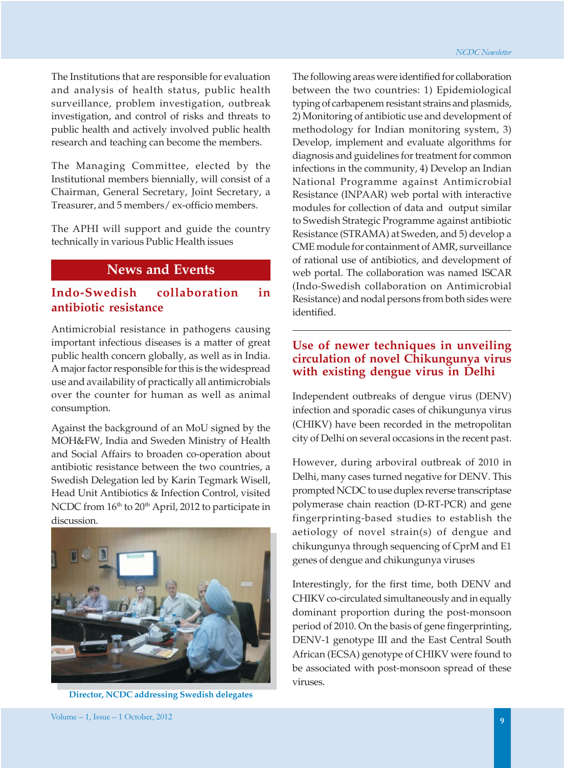The Institutions that are responsible for evaluation and analysis of health status, public health surveillance, problem investigation, outbreak investigation, and control of risks and threats to public health and actively involved public health research and teaching can become the members.

The Managing Committee, elected by the Institutional members biennially, will consist of a Chairman, General Secretary, Joint Secretary, a Treasurer, and 5 members/ ex-officio members.

The APHI will support and guide the country technically in various Public Health issues

#### **News and Events**

### **Indo-Swedish collaboration in antibiotic resistance**

Antimicrobial resistance in pathogens causing important infectious diseases is a matter of great public health concern globally, as well as in India. A major factor responsible for this is the widespread use and availability of practically all antimicrobials over the counter for human as well as animal consumption.

Against the background of an MoU signed by the MOH&FW, India and Sweden Ministry of Health and Social Affairs to broaden co-operation about antibiotic resistance between the two countries, a Swedish Delegation led by Karin Tegmark Wisell, Head Unit Antibiotics & Infection Control, visited NCDC from 16<sup>th</sup> to 20<sup>th</sup> April, 2012 to participate in discussion.



**Director, NCDC addressing Swedish delegates**

The following areas were identified for collaboration between the two countries: 1) Epidemiological typing of carbapenem resistant strains and plasmids, 2) Monitoring of antibiotic use and development of methodology for Indian monitoring system, 3) Develop, implement and evaluate algorithms for diagnosis and guidelines for treatment for common infections in the community, 4) Develop an Indian National Programme against Antimicrobial Resistance (INPAAR) web portal with interactive modules for collection of data and output similar to Swedish Strategic Programme against antibiotic Resistance (STRAMA) at Sweden, and 5) develop a CME module for containment of AMR, surveillance of rational use of antibiotics, and development of web portal. The collaboration was named ISCAR (Indo-Swedish collaboration on Antimicrobial Resistance) and nodal persons from both sides were identified.

#### **Use of newer techniques in unveiling circulation of novel Chikungunya virus with existing dengue virus in Delhi**

Independent outbreaks of dengue virus (DENV) infection and sporadic cases of chikungunya virus (CHIKV) have been recorded in the metropolitan city of Delhi on several occasions in the recent past.

However, during arboviral outbreak of 2010 in Delhi, many cases turned negative for DENV. This prompted NCDC to use duplex reverse transcriptase polymerase chain reaction (D-RT-PCR) and gene fingerprinting-based studies to establish the aetiology of novel strain(s) of dengue and chikungunya through sequencing of CprM and E1 genes of dengue and chikungunya viruses

Interestingly, for the first time, both DENV and CHIKV co-circulated simultaneously and in equally dominant proportion during the post-monsoon period of 2010. On the basis of gene fingerprinting, DENV-1 genotype III and the East Central South African (ECSA) genotype of CHIKV were found to be associated with post-monsoon spread of these viruses.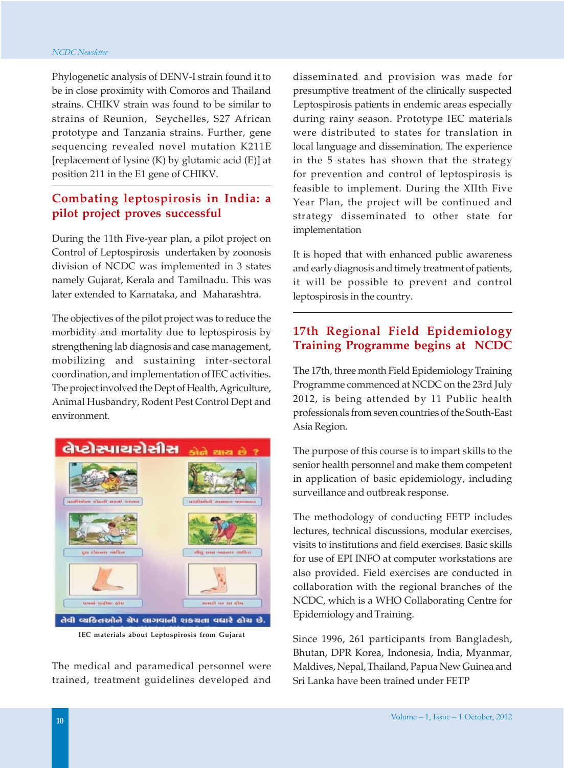Phylogenetic analysis of DENV-I strain found it to be in close proximity with Comoros and Thailand strains. CHIKV strain was found to be similar to strains of Reunion, Seychelles, S27 African prototype and Tanzania strains. Further, gene sequencing revealed novel mutation K211E [replacement of lysine (K) by glutamic acid (E)] at position 211 in the E1 gene of CHIKV.

## **Combating leptospirosis in India: a pilot project proves successful**

During the 11th Five-year plan, a pilot project on Control of Leptospirosis undertaken by zoonosis division of NCDC was implemented in 3 states namely Gujarat, Kerala and Tamilnadu. This was later extended to Karnataka, and Maharashtra.

The objectives of the pilot project was to reduce the morbidity and mortality due to leptospirosis by strengthening lab diagnosis and case management, mobilizing and sustaining inter-sectoral coordination, and implementation of IEC activities. The project involved the Dept of Health, Agriculture, Animal Husbandry, Rodent Pest Control Dept and environment.



The medical and paramedical personnel were trained, treatment guidelines developed and

disseminated and provision was made for presumptive treatment of the clinically suspected Leptospirosis patients in endemic areas especially during rainy season. Prototype IEC materials were distributed to states for translation in local language and dissemination. The experience in the 5 states has shown that the strategy for prevention and control of leptospirosis is feasible to implement. During the XIIth Five Year Plan, the project will be continued and strategy disseminated to other state for implementation

It is hoped that with enhanced public awareness and early diagnosis and timely treatment of patients, it will be possible to prevent and control leptospirosis in the country.

## **17th Regional Field Epidemiology Training Programme begins at NCDC**

The 17th, three month Field Epidemiology Training Programme commenced at NCDC on the 23rd July 2012, is being attended by 11 Public health professionals from seven countries of the South-East Asia Region.

The purpose of this course is to impart skills to the senior health personnel and make them competent in application of basic epidemiology, including surveillance and outbreak response.

The methodology of conducting FETP includes lectures, technical discussions, modular exercises, visits to institutions and field exercises. Basic skills for use of EPI INFO at computer workstations are also provided. Field exercises are conducted in collaboration with the regional branches of the NCDC, which is a WHO Collaborating Centre for Epidemiology and Training.

Since 1996, 261 participants from Bangladesh, Bhutan, DPR Korea, Indonesia, India, Myanmar, Maldives, Nepal, Thailand, Papua New Guinea and Sri Lanka have been trained under FETP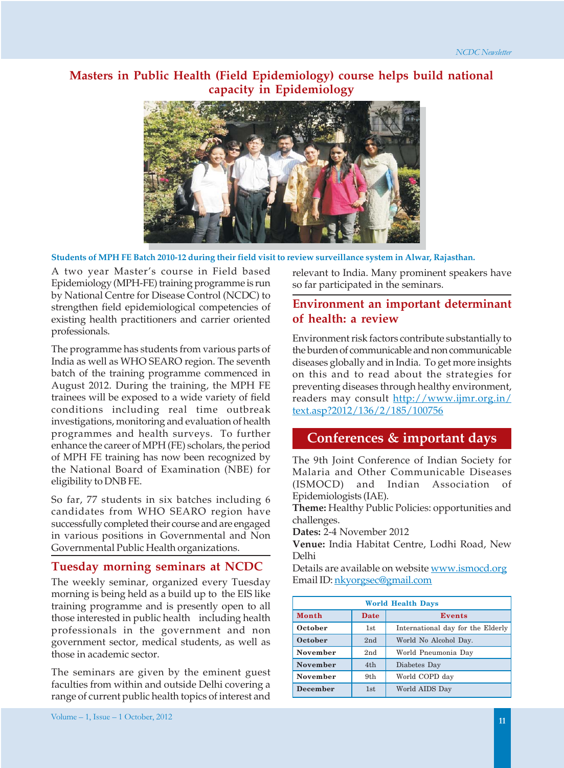#### **Masters in Public Health (Field Epidemiology) course helps build national capacity in Epidemiology**



**Students of MPH FE Batch 2010-12 during their field visit to review surveillance system in Alwar, Rajasthan.**

A two year Master's course in Field based Epidemiology (MPH-FE) training programme is run by National Centre for Disease Control (NCDC) to strengthen field epidemiological competencies of existing health practitioners and carrier oriented professionals.

The programme has students from various parts of India as well as WHO SEARO region. The seventh batch of the training programme commenced in August 2012. During the training, the MPH FE trainees will be exposed to a wide variety of field conditions including real time outbreak investigations, monitoring and evaluation of health programmes and health surveys. To further enhance the career of MPH (FE) scholars, the period of MPH FE training has now been recognized by the National Board of Examination (NBE) for eligibility to DNB FE.

So far, 77 students in six batches including 6 candidates from WHO SEARO region have successfully completed their course and are engaged in various positions in Governmental and Non Governmental Public Health organizations.

#### **Tuesday morning seminars at NCDC**

The weekly seminar, organized every Tuesday morning is being held as a build up to the EIS like training programme and is presently open to all those interested in public health including health professionals in the government and non government sector, medical students, as well as those in academic sector.

The seminars are given by the eminent guest faculties from within and outside Delhi covering a range of current public health topics of interest and

relevant to India. Many prominent speakers have so far participated in the seminars.

#### **Environment an important determinant of health: a review**

Environment risk factors contribute substantially to the burden of communicable and non communicable diseases globally and in India. To get more insights on this and to read about the strategies for preventing diseases through healthy environment, readers may consult http://www.ijmr.org.in/ text.asp?2012/136/2/185/100756

## **Conferences & important days**

The 9th Joint Conference of Indian Society for Malaria and Other Communicable Diseases (ISMOCD) and Indian Association of Epidemiologists (IAE).

**Theme:** Healthy Public Policies: opportunities and challenges.

**Dates:** 2-4 November 2012

**Venue:** India Habitat Centre, Lodhi Road, New Delhi

Details are available on website www.ismocd.org Email ID: nkyorgsec@gmail.com

| <b>World Health Days</b> |      |                                   |
|--------------------------|------|-----------------------------------|
| Month                    | Date | Events                            |
| October                  | 1st  | International day for the Elderly |
| October                  | 2nd  | World No Alcohol Day.             |
| <b>November</b>          | 2nd  | World Pneumonia Day               |
| <b>November</b>          | 4th  | Diabetes Day                      |
| <b>November</b>          | 9th  | World COPD day                    |
| <b>December</b>          | 1st  | World AIDS Day                    |